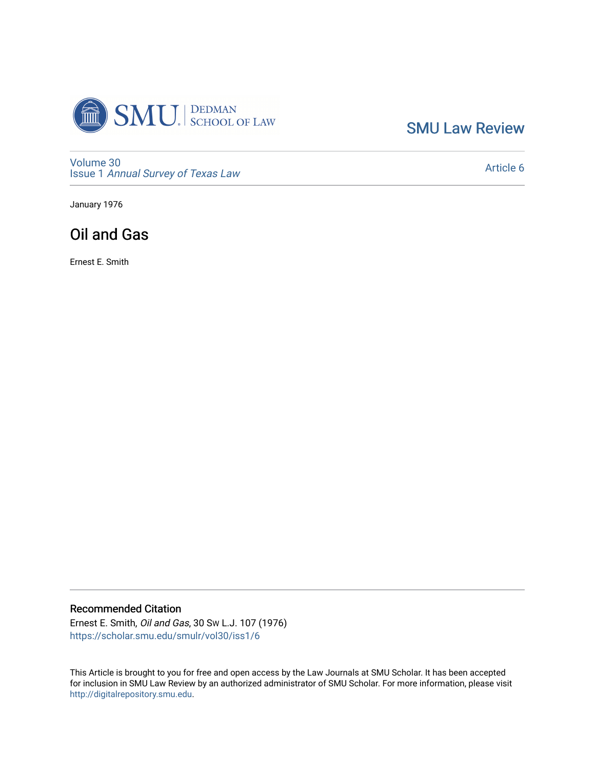

[SMU Law Review](https://scholar.smu.edu/smulr) 

[Volume 30](https://scholar.smu.edu/smulr/vol30) Issue 1 [Annual Survey of Texas Law](https://scholar.smu.edu/smulr/vol30/iss1) 

[Article 6](https://scholar.smu.edu/smulr/vol30/iss1/6) 

January 1976

# Oil and Gas

Ernest E. Smith

## Recommended Citation

Ernest E. Smith, Oil and Gas, 30 SW L.J. 107 (1976) [https://scholar.smu.edu/smulr/vol30/iss1/6](https://scholar.smu.edu/smulr/vol30/iss1/6?utm_source=scholar.smu.edu%2Fsmulr%2Fvol30%2Fiss1%2F6&utm_medium=PDF&utm_campaign=PDFCoverPages) 

This Article is brought to you for free and open access by the Law Journals at SMU Scholar. It has been accepted for inclusion in SMU Law Review by an authorized administrator of SMU Scholar. For more information, please visit [http://digitalrepository.smu.edu.](http://digitalrepository.smu.edu/)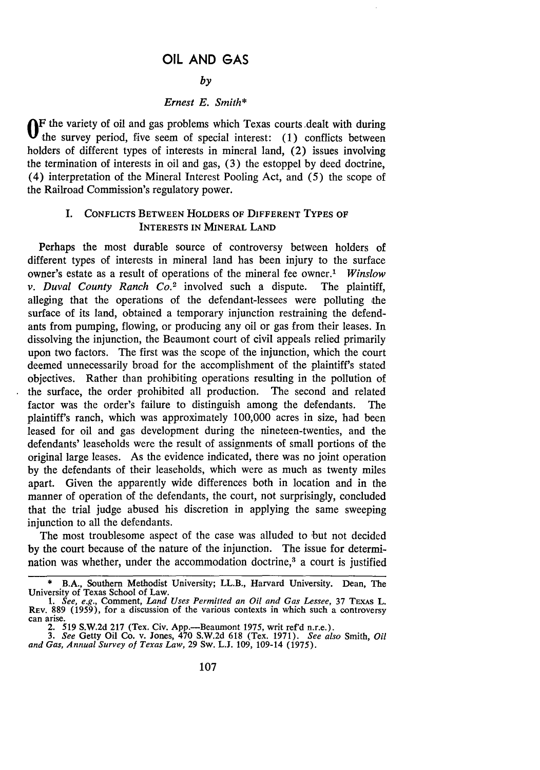## **OIL AND GAS**

#### *by*

#### *Ernest E. Smith\**

**OF** the variety of oil and gas problems which Texas courts ,dealt with during the survey period, five seem of special interest: (1) conflicts between holders of different types of interests in mineral land, (2) issues involving the termination of interests in oil and gas, (3) the estoppel by deed doctrine, (4) interpretation of the Mineral Interest Pooling Act, and (5) the scope of the Railroad Commission's regulatory power.

#### I. CONFLICTS **BETWEEN** HOLDERS OF DIFFERENT TYPES OF **INTERESTS IN MINERAL LAND**

Perhaps the most durable source of controversy between holders of different types of interests in mineral land has been injury to the surface owner's estate as a result of operations of the mineral fee owner.' *Winslow v. Duval County Ranch Co.2* involved such a dispute. The plaintiff, alleging that the operations of the defendant-lessees were polluting the surface of its land, obtained a temporary injunction restraining the defendants from pumping, flowing, or producing any oil or gas from their leases. In dissolving the injunction, the Beaumont court of civil appeals relied primarily upon two factors. The first was the scope of the injunction, which the court deemed unnecessarily broad for the accomplishment of the plaintiff's stated objectives. Rather than prohibiting operations resulting in the pollution of the surface, the order prohibited all production. The second and related factor was the order's failure to distinguish among the defendants. The plaintiff's ranch, which was approximately 100,000 acres in size, had been leased for oil and gas development during the nineteen-twenties, and the defendants' leaseholds were the result of assignments of small portions of the original large leases. As the evidence indicated, there was no joint operation by the defendants of their leaseholds, which were as much as twenty miles apart. Given the apparently wide differences both in location and in the manner of operation of the defendants, the court, not surprisingly, concluded that the trial judge abused his discretion in applying the same sweeping injunction to all the defendants.

The most troublesome aspect of the case was alluded to but not decided by the court because of the nature of the injunction. The issue for determination was whether, under the accommodation doctrine,<sup>3</sup> a court is justified

<sup>\*</sup> B.A., Southern Methodist University; LL.B., Harvard University. Dean, The University of Texas School of Law. *1. See, e.g.,* Comment, *Land Uses Permitted an Oil and Gas Lessee,* 37 TEXAs L.

REV. 889 (1959), for a discussion of the various contexts in which such a controversy can arise.

<sup>2.</sup> **519 S.W.2d 217** (Tex. Civ. App.-Beaumont **1975,** writ ref'd n.r.e.). *3. See* Getty Oil Co. v. Jones, 470 **S.W.2d 618** (Tex. **1971).** *See also* Smith, *Oil*

*and Gas, Annual Survey of Texas Law,* 29 Sw. L.J. 109, 109-14 **(1975).**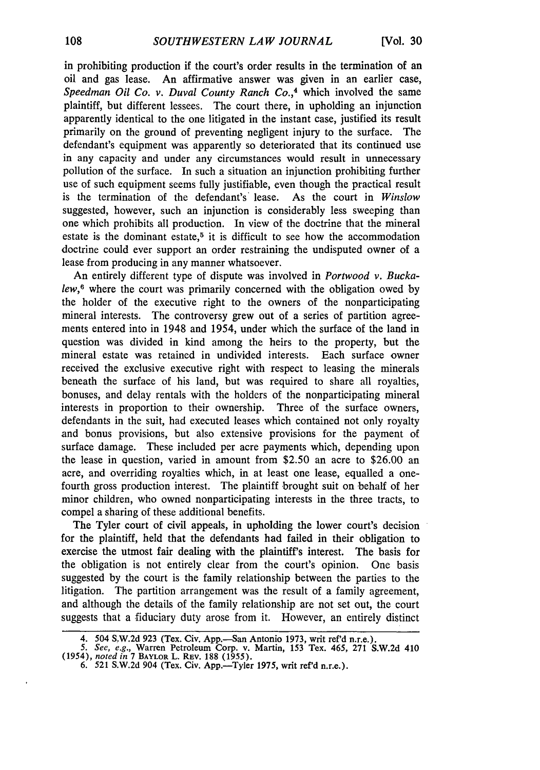in prohibiting production if the court's order results in the termination of an oil and gas lease. An affirmative answer was given in an earlier case, *Speedman Oil Co. v. Duval County Ranch Co.,4* which involved the same plaintiff, but different lessees. The court there, in upholding an injunction apparently identical to the one litigated in the instant case, justified its result primarily on the ground of preventing negligent injury to the surface. The defendant's equipment was apparently so deteriorated that its continued use in any capacity and under any circumstances would result in unnecessary pollution of the surface. In such a situation an injunction prohibiting further use of such equipment seems fully justifiable, even though the practical result is the termination of the defendant's lease. As the court in *Winslow* suggested, however, such an injunction is considerably less sweeping than one which prohibits all production. In view of the doctrine that the mineral estate is the dominant estate, $5$  it is difficult to see how the accommodation doctrine could ever support an order restraining the undisputed owner of a lease from producing in any manner whatsoever.

An entirely different type of dispute was involved in *Portwood v. Buckalew,6* where the court was primarily concerned with the obligation owed by the holder of the executive right to the owners of the nonparticipating mineral interests. The controversy grew out of a series of partition agreements entered into in 1948 and 1954, under which the surface of the land in question was divided in kind among the heirs to the property, but the mineral estate was retained in undivided interests. Each surface owner received the exclusive executive right with respect to leasing the minerals beneath the surface of his land, but was required to share all royalties, bonuses, and delay rentals with the holders of the nonparticipating mineral interests in proportion to their ownership. Three of the surface owners, defendants in the suit, had executed leases which contained not only royalty and bonus provisions, but also extensive provisions for the payment of surface damage. These included per acre payments which, depending upon the lease in question, varied in amount from \$2.50 an acre to \$26.00 an acre, and overriding royalties which, in at least one lease, equalled a onefourth gross production interest. The plaintiff brought suit on behalf of her minor children, who owned nonparticipating interests in the three tracts, to compel a sharing of these additional benefits.

The Tyler court of civil appeals, in upholding the lower court's decision for the plaintiff, held that the defendants had failed in their obligation to exercise the utmost fair dealing with the plaintiff's interest. The basis for the obligation is not entirely clear from the court's opinion. One basis suggested by the court is the family relationship between the parties to the litigation. The partition arrangement was the result of a family agreement, and although the details of the family relationship are not set out, the court suggests that a fiduciary duty arose from it. However, an entirely distinct

<sup>4. 504</sup> S.W.2d **923** (Tex. Civ. App.-San Antonio **1973,** writ ref'd n.r.e.). *5.* See, e.g., Warren Petroleum Corp. v. Martin, **153** Tex. 465, **271 S.W.2d** <sup>410</sup>

<sup>(1954),</sup> noted in **7** BAYLOR L. REV. **188 (1955).**

<sup>6. 521</sup> **S.W.2d** 904 (Tex. Civ. App.-Tyler **1975,** writ ref'd n.r.e.).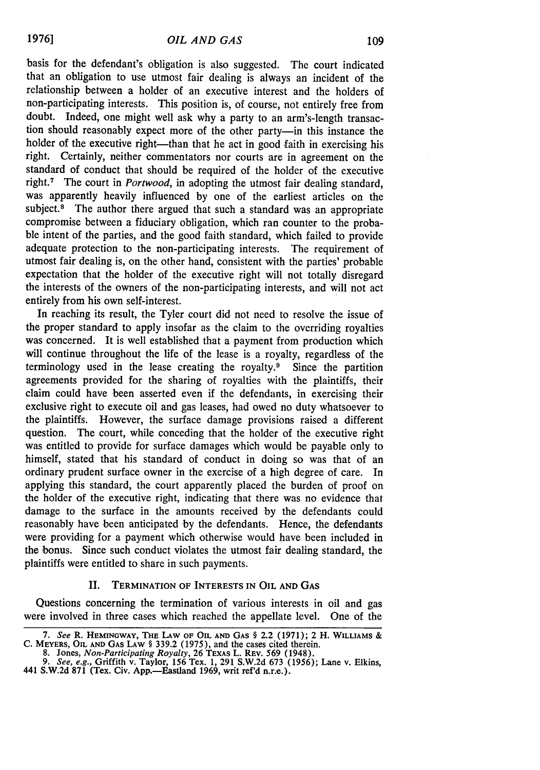basis for the defendant's obligation is also suggested. The court indicated that an obligation to use utmost fair dealing is always an incident of the relationship between a holder of an executive interest and the holders of non-participating interests. This position is, of course, not entirely free from doubt. Indeed, one might well ask why a party to an arm's-length transaction should reasonably expect more of the other party-in this instance the holder of the executive right—than that he act in good faith in exercising his right. Certainly, neither commentators nor courts are in agreement on the standard of conduct that should be required of the holder of the executive right.<sup>7</sup> The court in *Portwood*, in adopting the utmost fair dealing standard, was apparently heavily influenced by one of the earliest articles on the subject.<sup>8</sup> The author there argued that such a standard was an appropriate compromise between a fiduciary obligation, which ran counter to the probable intent of the parties, and the good faith standard, which failed to provide adequate protection to the non-participating interests. The requirement of utmost fair dealing is, on the other hand, consistent with the parties' probable expectation that the holder of the executive right will not totally disregard the interests of the owners of the non-participating interests, and will not act entirely from his own self-interest.

In reaching its result, the Tyler court did not need to resolve the issue of the proper standard to apply insofar as the claim to the overriding royalties was concerned. It is well established that a payment from production which will continue throughout the life of the lease is a royalty, regardless of the terminology used in the lease creating the royalty.<sup>9</sup> Since the partition agreements provided for the sharing of royalties with the plaintiffs, their claim could have been asserted even if the defendants, in exercising their exclusive right to execute oil and gas leases, had owed no duty whatsoever to the plaintiffs. However, the surface damage provisions raised a different question. The court, while conceding that the holder of the executive right was entitled to provide for surface damages which would be payable only to himself, stated that his standard of conduct in doing so was that of an ordinary prudent surface owner in the exercise of a high degree of care. In applying this standard, the court apparently placed the burden of proof on the holder of the executive right, indicating that there was no evidence that damage to the surface in the amounts received by the defendants could reasonably have been anticipated by the defendants. Hence, the defendants were providing for a payment which otherwise would have been included in the bonus. Since such conduct violates the utmost fair dealing standard, the plaintiffs were entitled to share in such payments.

#### II. **TERMINATION** OF INTERESTS **IN** OIL **AND GAS**

Questions concerning the termination of various interests in oil and gas were involved in three cases which reached the appellate level. One of the

*<sup>7.</sup> See* R. **HEMINGWAY, THE** LAW **OF** OIL **AND GAS** § 2.2 (1971); 2 H. WILLIAMS **& C.** MEYERS, **OIL AND GAS LAW** § 339.2 **(1975),** and the cases cited therein. 8. Jones, *Non-Participating Royalty,* **26** TEXAS L. REv. **569** (1948).

*<sup>9.</sup> See, e.g.,* Griffith v. Taylor, **156** Tex. **1, 291 S.W.2d 673 (1956);** Lane v. Elkins, 441 **S.W.2d 871 (Tex.** Civ. App.-Eastland **1969,** writ ref'd n.r.e.).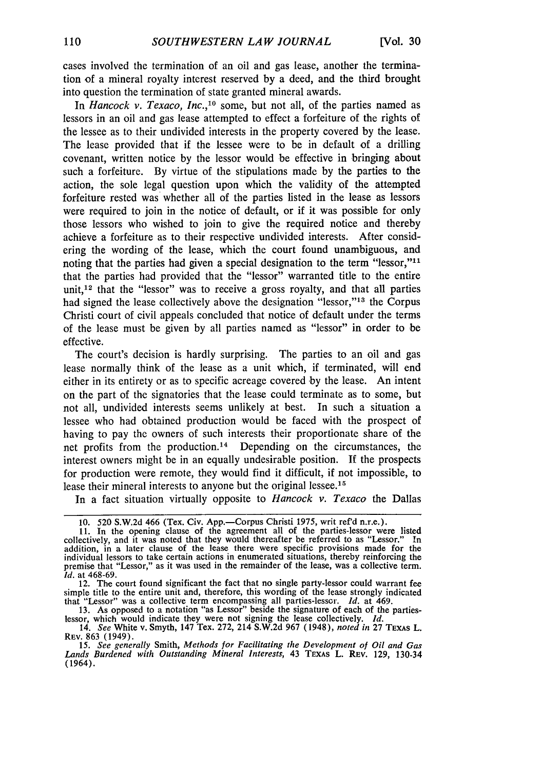cases involved the termination of an oil and gas lease, another the termination of a mineral royalty interest reserved by a deed, and the third brought into question the termination of state granted mineral awards.

In *Hancock v. Texaco, Inc.*,<sup>10</sup> some, but not all, of the parties named as lessors in an oil and gas lease attempted to effect a forfeiture of the rights of the lessee as to their undivided interests in the property covered by the lease. The lease provided that if the lessee were to be in default of a drilling covenant, written notice by the lessor would be effective in bringing about such a forfeiture. By virtue of the stipulations made by the parties to the action, the sole legal question upon which the validity of the attempted forfeiture rested was whether all of the parties listed in the lease as lessors were required to join in the notice of default, or if it was possible for only those lessors who wished to join to give the required notice and thereby achieve a forfeiture as to their respective undivided interests. After considering the wording of the lease, which the court found unambiguous, and noting that the parties had given a special designation to the term "lessor," $11$ " that the parties had provided that the "lessor" warranted title to the entire unit,<sup>12</sup> that the "lessor" was to receive a gross royalty, and that all parties had signed the lease collectively above the designation "lessor,"<sup>13</sup> the Corpus Christi court of civil appeals concluded that notice of default under the terms of the lease must be given by all parties named as "lessor" in order to be effective.

The court's decision is hardly surprising. The parties to an oil and gas lease normally think of the lease as a unit which, if terminated, will end either in its entirety or as to specific acreage covered by the lease. An intent on the part of the signatories that the lease could terminate as to some, but not all, undivided interests seems unlikely at best. In such a situation a lessee who had obtained production would be faced with the prospect of having to pay the owners of such interests their proportionate share of the net profits from the production.<sup>14</sup> Depending on the circumstances, the interest owners might be in an equally undesirable position. If the prospects for production were remote, they would find it difficult, if not impossible, to lease their mineral interests to anyone but the original lessee.<sup>15</sup>

In a fact situation virtually opposite to *Hancock v. Texaco* the Dallas

12. The court found significant the fact that no single party-lessor could warrant fee simple title to the entire unit and, therefore, this wording of the lease strongly indicated that "Lessor" was a collective term encompassing all parties-lessor. *Id.* at 469.

**13.** As opposed to a notation "as Lessor" beside the signature of each of the partieslessor, which would indicate they were not signing the lease collectively. *Id.* 14. *See* White v. Smyth, 147 Tex. **272,** 214 **S.W.2d 967** (1948), *noted in* **27 TEXAS** L.

**REV. 863** (1949).

*15. See generally* Smith, *Methods for Facilitating the Development of Oil and Gas Lands* Burdened with Outstanding *Mineral Interests,* 43 **TEXAS L. REV. 129, 130-34** (1964).

<sup>10. 520</sup> S.W.2d 466 (Tex. Civ. App.-Corpus Christi 1975, writ ref'd n.r.e.).

<sup>11.</sup> In the opening clause of the agreement all of the parties-lessor were listed collectively, and it was noted that they would thereafter be referred to as "Lessor." In addition, in a later clause of the lease there were specific provisions made for the individual lessors to take certain actions in enumerated situations, thereby reinforcing the premise that "Lessor," as it was used in the remainder of the lease, was a collective term. *Id.* at 468-69.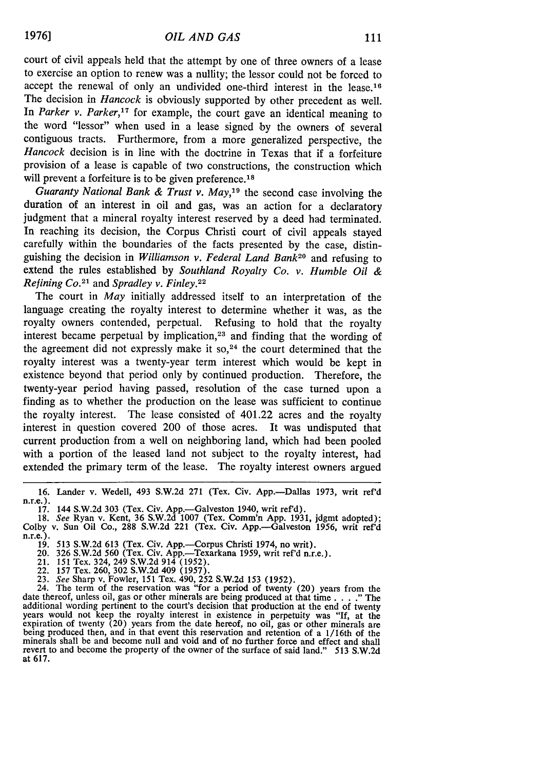court of civil appeals held that the attempt by one of three owners of a lease to exercise an option to renew was a nullity; the lessor could not be forced to accept the renewal of only an undivided one-third interest in the lease.<sup>16</sup> The decision in *Hancock* is obviously supported by other precedent as well. In *Parker v. Parker,17* for example, the court gave an identical meaning to the word "lessor" when used in a lease signed by the owners of several contiguous tracts. Furthermore, from a more generalized perspective, the *Hancock* decision is in line with the doctrine in Texas that if a forfeiture provision of a lease is capable of two constructions, the construction which will prevent a forfeiture is to be given preference.<sup>18</sup>

*Guaranty National Bank & Trust v. May,*<sup>19</sup> the second case involving the duration of an interest in oil and gas, was an action for a declaratory judgment that a mineral royalty interest reserved by a deed had terminated. In reaching its decision, the Corpus Christi court of civil appeals stayed carefully within the boundaries of the facts presented by the case, distinguishing the decision in *Williamson v. Federal Land Bank20* and refusing to extend the rules established by *Southland Royalty Co. v. Humble Oil & Refining Co.2 <sup>1</sup>*and *Spradley v. Finley.22*

The court in *May* initially addressed itself to an interpretation of the language creating the royalty interest to determine whether it was, as the royalty owners contended, perpetual. Refusing to hold that the royalty interest became perpetual by implication,<sup>23</sup> and finding that the wording of the agreement did not expressly make it so, $24$  the court determined that the royalty interest was a twenty-year term interest which would be kept in existence beyond that period only by continued production. Therefore, the twenty-year period having passed, resolution of the case turned upon a finding as to whether the production on the lease was sufficient to continue the royalty interest. The lease consisted of 401.22 acres and the royalty interest in question covered 200 of those acres. It was undisputed that current production from a well on neighboring land, which had been pooled with a portion of the leased land not subject to the royalty interest, had extended the primary term of the lease. The royalty interest owners argued

16. Lander v. Wedell, 493 S.W.2d 271 (Tex. Civ. App.-Dallas 1973, writ ref'd n.r.e.).

11. 17. 144 S.W.2d 303 (Tex. Civ. App.—Galveston 1940, writ ref'd).<br>18. See Ryan v. Kent, 36 S.W.2d 1007 (Tex. Comm'n App. 1931, jdgmt adopted);<br>Colby v. Sun Oil Co., 288 S.W.2d 221 (Tex. Civ. App.—Galveston 1956, writ ref n.r.e.).<br>19. 513 S.W.2d 613 (Tex. Civ. App.—Corpus Christi 1974, no writ).

20. 326 S.W.2d 560 (Tex. Civ. App.-Texarkana 1959, writ ref'd n.r.e.). 21. **151** Tex. 324, 249 **S.W.2d** 914 **(1952).**

22. **157** Tex. 260, 302 S.W.2d 409 (1957). **23.** *See* Sharp v. Fowler, 151 Tex. 490, 252 S.W.2d 153 **(1952).** 24. The term of the reservation was "for a period of twenty (20) years from the

date thereof, unless oil, gas or other minerals are being produced at that time **... "** The additional wording pertinent to the court's decision that production at the end of twenty years would not keep the royalty interest in existence in perpetuity was "If, at the expiration of twenty (20) years from the date hereof, no oil, gas or other minerals are being produced then, and in that event this reser revert to and become the property of the owner of the surface of said land." 513 S.W.2d **at 617.**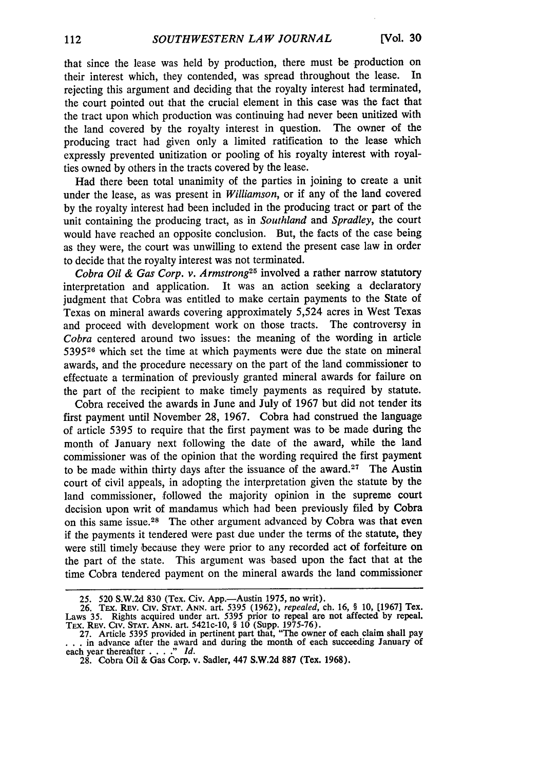that since the lease was held by production, there must be production on their interest which, they contended, was spread throughout the lease. In rejecting this argument and deciding that the royalty interest had terminated, the court pointed out that the crucial element in this case was the fact that the tract upon which production was continuing had never been unitized with<br>the land covered by the royalty interest in question. The owner of the the land covered by the royalty interest in question. producing tract had given only a limited ratification to the lease which expressly prevented unitization or pooling of his royalty interest with royalties owned by others in the tracts covered by the lease.

Had there been total unanimity of the parties in joining to create a unit under the lease, as was present in *Williamson,* or if any of the land covered by the royalty interest had been included in the producing tract or part of the unit containing the producing tract, as in *Southland* and *Spradley,* the court would have reached an opposite conclusion. But, the facts of the case being as they were, the court was unwilling to extend the present case law in order to decide that the royalty interest was not terminated.

*Cobra Oil & Gas Corp. v. Armstrong25* involved a rather narrow statutory interpretation and application. It was an action seeking a declaratory judgment that Cobra was entitled to make certain payments to the State of Texas on mineral awards covering approximately 5,524 acres in West Texas and proceed with development work on those tracts. The controversy in *Cobra* centered around two issues: the meaning of the wording in article **539526** which set the time at which payments were due the state on mineral awards, and the procedure necessary on the part of the land commissioner to effectuate a termination of previously granted mineral awards for failure on the part of the recipient to make timely payments as required by statute.

Cobra received the awards in June and July of 1967 but did not tender its first payment until November 28, 1967. Cobra had construed the language of article 5395 to require that the first payment was to be made during the month of January next following the date of the award, while the land commissioner was of the opinion that the wording required the first payment to be made within thirty days after the issuance of the award.<sup>27</sup> The Austin court of civil appeals, in adopting the interpretation given the statute by the land commissioner, followed the majority opinion in the supreme court decision upon writ of mandamus which had been previously filed by Cobra on this same issue.28 The other argument advanced by Cobra was that even if the payments it tendered were past due under the terms of the statute, they were still timely because they were prior to any recorded act of forfeiture on the part of the state. This argument was based upon the fact that at the time Cobra tendered payment on the mineral awards the land commissioner

<sup>25. 520</sup> S.W.2d 830 (Tex. Civ. App.—Austin 1975, no writ).<br>26. Tex. Rev. Civ. Star. ANN. art. 5395 (1962), *repealed*, ch. 16, § 10, [1967] Tex.<br>Laws 35. Rights acquired under art. 5395 prior to repeal are not affected by r

<sup>•</sup> **. .** in advance after the award and during the month **of each** succeeding January **of** each year thereafter **....** *." Id.* **28.** Cobra Oil **&** Gas Corp. v. Sadler, 447 **S.W.2d 887** (Tex. **1968).**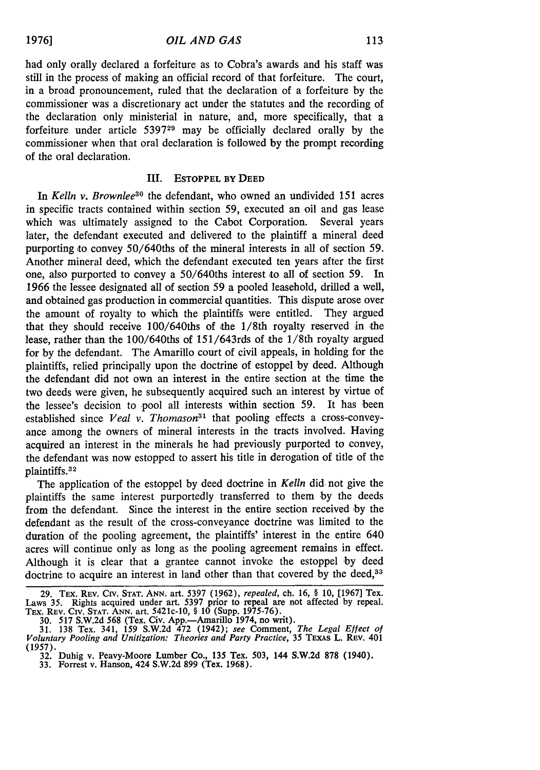had only orally declared a forfeiture as to Cobra's awards and his staff was still in the process of making an official record of that forfeiture. The court, in a broad pronouncement, ruled that the declaration of a forfeiture by the commissioner was a discretionary act under the statutes and the recording of the declaration only ministerial in nature, and, more specifically, that a forfeiture under article **539729** may be officially declared orally by the commissioner when that oral declaration is followed by the prompt recording of the oral declaration.

#### **III. ESTOPPEL BY DEED**

*In Kelln v. Brownlee30* the defendant, who owned an undivided 151 acres in specific tracts contained within section 59, executed an oil and gas lease which was ultimately assigned to the Cabot Corporation. Several years later, the defendant executed and delivered to the plaintiff a mineral deed purporting to convey 50/640ths of the mineral interests in all of section 59. Another mineral deed, which the defendant executed ten years after the first one, also purported to convey a  $50/640$ ths interest to all of section 59. In 1966 the lessee designated all of section 59 a pooled leasehold, drilled a well, and obtained gas production in commercial quantities. This dispute arose over the amount of royalty to which the plaintiffs were entitled. They argued that they should receive 100/640ths of ithe 1/8th royalty reserved in the lease, rather than the 100/640ths of 151/643rds of the 1/8th royalty argued for by the defendant. The Amarillo court of civil appeals, in holding for the plaintiffs, relied principally upon the doctrine of estoppel by deed. Although the defendant did not own an interest in the entire section at the time the two deeds were given, he subsequently acquired such an interest by virtue of the lessee's decision to pool all interests within section 59. It has been established since *Veal v. Thomason*<sup>31</sup> that pooling effects a cross-conveyance among the owners of mineral interests in the tracts involved. Having acquired an interest in the minerals he had previously purported to convey, the defendant was now estopped to assert his title in derogation of title of the plaintiffs. <sup>32</sup>

The application of the estoppel by deed doctrine in *Kelln* did. not give the plaintiffs the same interest purportedly transferred to them by the deeds from the defendant. Since the interest in the entire section received by the defendant as the result of the cross-conveyance doctrine was limited to the duration of the pooling agreement, the plaintiffs' interest in the entire 640 acres will continue only as long as the pooling agreement remains in effect. Although it is clear that a grantee cannot invoke the estoppel by deed doctrine to acquire an interest in land other than that covered by the deed,<sup>33</sup>

**<sup>29.</sup>** TEx. **REV. Crv. STAT. ANN.** art. **5397 (1962),** *repealed,* ch. **16,** § **10, [1967]** Tex. Laws **35.** Rights acquired under art. 5397 prior to repeal are not affected **by** repeal. Tax. REV. Civ. **STAT. ANN.** art. 5421c-10, **§ 10** (Supp. 1975-76).

**<sup>30. 517</sup> S.W.2d 568** (Tex. Civ. App.-Amarillo 1974, no writ). **31. 138** Tex. 341, **159 S.W.2d** 472 (1942); see Comment, *The Legal Effect of Voluntary Pooling and Unitization: Theories and Party Practice, 35* TEXAs L. REv. 401 **(1957).**

**<sup>32.</sup>** Duhig v. Peavy-Moore Lumber Co., **135** Tex. **503,** 144 **S.W.2d 878** (1940).

**<sup>33.</sup>** Forrest v. Hanson, 424 **S.W.2d 899** (Tex. **1968).**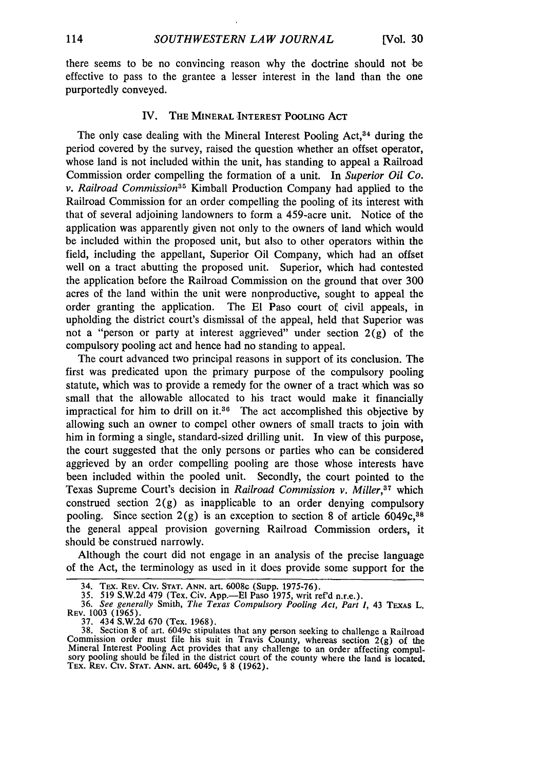there seems to be no convincing reason why the doctrine should not be effective to pass to the grantee a lesser interest in the land than the one purportedly conveyed.

#### IV. THE MINERAL INTEREST POOLING ACT

The only case dealing with the Mineral Interest Pooling  $Act<sub>34</sub>$  during the period covered **by** the survey, raised the question whether an offset operator, whose land is not included within the unit, has standing to appeal a Railroad Commission order compelling the formation of a unit. In *Superior Oil Co. v. Railroad Commission35* Kimball Production Company had applied to the Railroad Commission for an order compelling the pooling of its interest with that of several adjoining landowners to form a 459-acre unit. Notice of the application was apparently given not only to the owners of land which would be included within the proposed unit, but also to other operators within the field, including the appellant, Superior Oil Company, which had an offset well on a tract abutting the proposed unit. Superior, which had contested the application before the Railroad Commission on the ground that over **300** acres of the land within the unit were nonproductive, sought to appeal the order granting the application. The El Paso court of civil appeals, in upholding the district court's dismissal of the appeal, held that Superior was not a "person or party at interest aggrieved" under section  $2(g)$  of the compulsory pooling act and hence had no standing to appeal.

The court advanced two principal reasons in support of its conclusion. The first was predicated upon the primary purpose of the compulsory pooling statute, which was to provide a remedy for the owner of a tract which was so small that the allowable allocated to his tract would make it financially impractical for him to drill on **it.3 6** The act accomplished this objective **by** allowing such an owner to compel other owners of small tracts to join with him in forming a single, standard-sized drilling unit. In view of this purpose, the court suggested that the only persons or parties who can be considered aggrieved **by** an order compelling pooling are those whose interests have been included within the pooled unit. Secondly, the court pointed to the Texas Supreme Court's decision in *Railroad Commission v. Miller*,<sup>37</sup> which construed section  $2(g)$  as inapplicable to an order denying compulsory pooling. Since section  $2(g)$  is an exception to section 8 of article 6049c,<sup>38</sup> the general appeal provision governing Railroad Commission orders, it should be construed narrowly.

Although the court did not engage in an analysis of the precise language of the Act, the terminology as used in it does provide some support for the

<sup>34,</sup> Tex. Rev. Civ. Stat. Ann. art. 6008c (Supp. 1975-76).<br>35. 519 S.W.2d 479 (Tex. Civ. App.—El Paso 1975, writ ref'd n.r.e.).<br>36. *See generally Smith, The Texas Compulsory Pooling Act. Part I.* 43 Texas L.

REV. **1003 (1965).**

<sup>37. 434</sup> S.W.2d 670 (Tex. 1968).<br>38. Section 8 of art. 6049c stipulates that any person seeking to challenge a Railroad Commission order must file his suit in Travis County, whereas section  $2(g)$  of the Mineral Interest Pooling Act provides that any challenge to an order affecting compulsory pooling should be filed in the district court of the county where the land is located. TEX. REV. Civ. **STAT. ANN.** art. 6049c, § **8** (1962).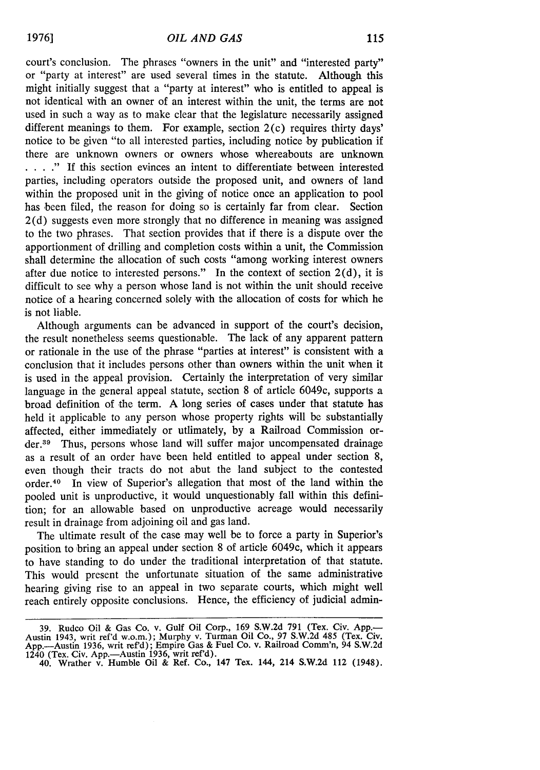court's conclusion. The phrases "owners in the unit" and "interested party" or "party at interest" are used several times in the statute. Although this might initially suggest that a "party at interest" who is entitled to appeal is not identical with an owner of an interest within the unit, the terms are not used in such a way as to make clear that the legislature necessarily assigned different meanings to them. For example, section  $2(c)$  requires thirty days' notice to be given "to all interested parties, including notice by publication if there are unknown owners or owners whose whereabouts are unknown **.** . **."** If this section evinces an intent to differentiate between interested parties, including operators outside the proposed unit, and owners of land within the proposed unit in the giving of notice once an application to pool has been filed, the reason for doing so is certainly far from clear. Section 2(d) suggests even more strongly that no difference in meaning was assigned to the two phrases. That section provides that if there is a dispute over the apportionment of drilling and completion costs within a unit, the Commission shall determine the allocation of such costs "among working interest owners after due notice to interested persons." In the context of section  $2(d)$ , it is difficult to see why a person whose land is not within the unit should receive notice of a hearing concerned solely with the allocation of costs for which he is not liable.

Although arguments can be advanced in support of the court's decision, the result nonetheless seems questionable. The lack of any apparent pattern or rationale in the use of the phrase "parties at interest" is consistent with a conclusion that it includes persons other than owners within the unit when it is used in the appeal provision. Certainly the interpretation of very similar language in the general appeal statute, section 8 of article 6049c, supports a broad definition of the term. A long series of cases under that statute has held it applicable to any person whose property rights will be substantially affected, either immediately or utlimately, by a Railroad Commission order.<sup>39</sup> Thus, persons whose land will suffer major uncompensated drainage as a result of an order have been held entitled to appeal under section 8, even though their tracts do not abut the land subject to the contested order.40 In view of Superior's allegation that most of the land within the pooled unit is unproductive, it would unquestionably fall within this definition; for an allowable based on unproductive acreage would necessarily result in drainage from adjoining oil and gas land.

The ultimate result of the case may well be to force a party in Superior's position to bring an appeal under section 8 of article 6049c, which it appears to have standing to do under the traditional interpretation of that statute. This would present the unfortunate situation of the same administrative hearing giving rise to an appeal in two separate courts, which might well reach entirely opposite conclusions. Hence, the efficiency of judicial admin-

**<sup>39.</sup> Rudco** Oil **&** Gas **Co.** v. Gulf Oil Corp., **169 S.W.2d 791** (Tex. Civ. **App.-** Austin 1943, writ ref'd w.o.m.); Murphy v. Turman Oil Co., **97 S.W.2d** 485 (Tex. Civ. App.-Austin **1936,** writ ref'd); Empire Gas **&** Fuel **Co.** v. Railroad Comm'n, 94 **S.W.2d** 1240 (Tex. **Civ.** App.-Austin **1936,** writ ref'd).

**<sup>40.</sup>** Wrather v. Humble **Oil &** Ref. Co., 147 Tex. 144, 214 **S.W.2d** 112 (1948).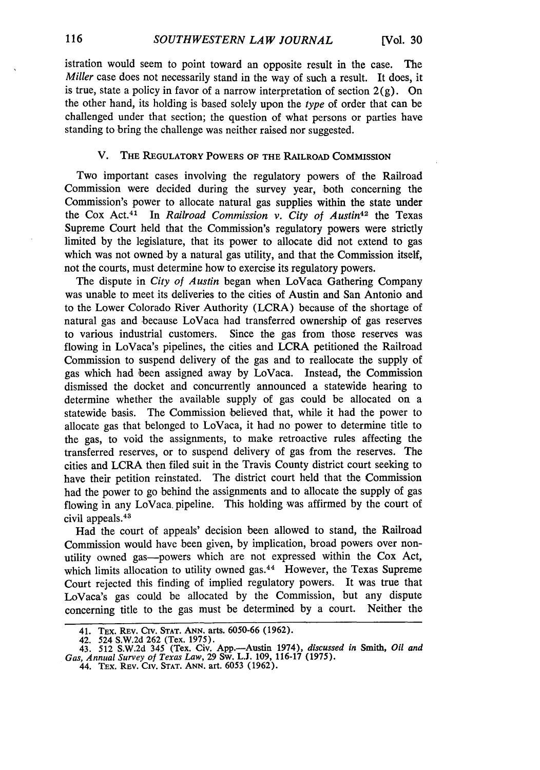istration would seem to point toward an opposite result in the case. The *Miller* case does not necessarily stand in the way of such a result. It does, it is true, state a policy in favor of a narrow interpretation of section  $2(g)$ . On the other hand, its holding is based solely upon the *type* of order that can be challenged under that section; the question of what persons or parties have standing to bring the challenge was neither raised nor suggested.

### V. **THE REGULATORY** POWERS **OF THE** RAILROAD **COMMISSION**

Two important cases involving the regulatory powers of the Railroad Commission were decided during the survey year, both concerning the Commission's power to allocate natural gas supplies within the state under the Cox Act. 4' In *Railroad Commission v. City of Austin42* the Texas Supreme Court held that the Commission's regulatory powers were strictly limited by the legislature, that its power to allocate did not extend to gas which was not owned by a natural gas utility, and that the Commission itself, not the courts, must determine how to exercise its regulatory powers.

The dispute in *City of Austin* began when LoVaca Gathering Company was unable to meet its deliveries to the cities of Austin and San Antonio and to the Lower Colorado River Authority (LCRA) because of the shortage of natural gas and because LoVaca had transferred ownership of gas reserves to various industrial customers. Since the gas from those reserves was flowing in LoVaca's pipelines, the cities and LCRA petitioned the Railroad Commission to suspend delivery of the gas and to reallocate the supply of gas which had been assigned away by LoVaca. Instead, the Commission dismissed the docket and concurrently announced a statewide hearing to determine whether the available supply of gas could be allocated on a statewide basis. The Commission believed that, while it had the power to allocate gas that belonged to LoVaca, it had no power to determine title to the gas, to void the assignments, to make retroactive rules affecting the transferred reserves, or to suspend delivery of gas from the reserves. The cities and LCRA then filed suit in the Travis County district court seeking to have their petition reinstated. The district court held that the Commission had the power to go behind the assignments and to allocate the supply of gas flowing in any LoVaca. pipeline. This holding was affirmed by the court of civil appeals.<sup>43</sup>

Had the court of appeals' decision been allowed to stand, the Railroad Commission would have been given, by implication, broad powers over nonutility owned gas-powers which are not expressed within the Cox Act, which limits allocation to utility owned gas.<sup>44</sup> However, the Texas Supreme Court rejected this finding of implied regulatory powers. It was true that LoVaca's gas could be allocated by the Commission, but any dispute concerning title to the gas must be determined by a court. Neither the

**<sup>41.</sup>** TEX. REV. Civ. **STAT. ANN.** arts. 6050-66 **(1962).**

**<sup>42.</sup> 524 S.W.2d 262 (Tex. 1975). 43. 512 S.W.2d** 345 **(Tex.** Civ. App.-Austin 1974), discussed **in Smith,** *Oil and Gas, Annual Survey of Texas Law,* **29 Sw. L.J. 109, 116-17 (1975).**

**<sup>44.</sup> TEx.** REv. Civ. **STAT. ANN. art.** 6053 **(1962).**